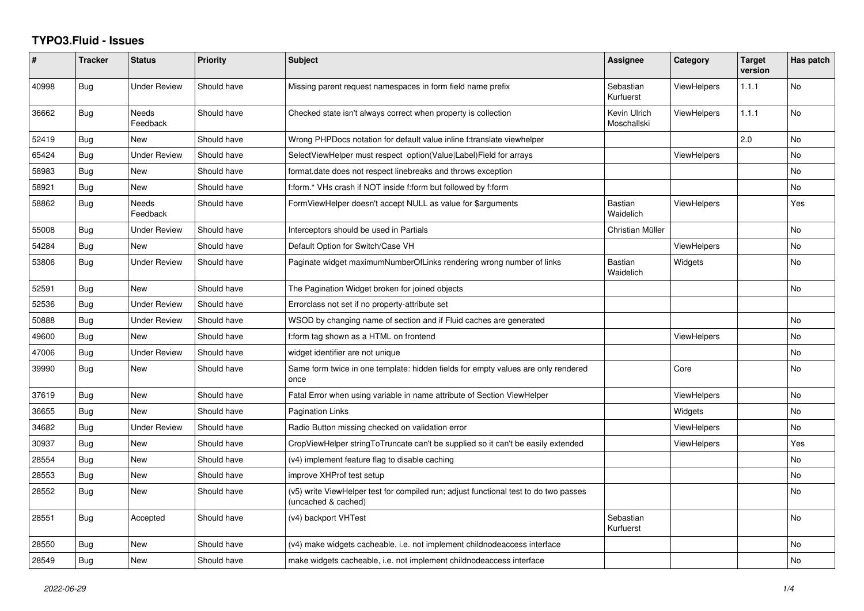## **TYPO3.Fluid - Issues**

| #     | <b>Tracker</b> | <b>Status</b>            | Priority    | Subject                                                                                                     | Assignee                    | Category           | <b>Target</b><br>version | Has patch |
|-------|----------------|--------------------------|-------------|-------------------------------------------------------------------------------------------------------------|-----------------------------|--------------------|--------------------------|-----------|
| 40998 | Bug            | <b>Under Review</b>      | Should have | Missing parent request namespaces in form field name prefix                                                 | Sebastian<br>Kurfuerst      | <b>ViewHelpers</b> | 1.1.1                    | No        |
| 36662 | Bug            | <b>Needs</b><br>Feedback | Should have | Checked state isn't always correct when property is collection                                              | Kevin Ulrich<br>Moschallski | <b>ViewHelpers</b> | 1.1.1                    | No        |
| 52419 | Bug            | New                      | Should have | Wrong PHPDocs notation for default value inline f:translate viewhelper                                      |                             |                    | 2.0                      | No        |
| 65424 | Bug            | <b>Under Review</b>      | Should have | SelectViewHelper must respect option(Value Label)Field for arrays                                           |                             | <b>ViewHelpers</b> |                          | No.       |
| 58983 | Bug            | <b>New</b>               | Should have | format.date does not respect linebreaks and throws exception                                                |                             |                    |                          | No        |
| 58921 | Bug            | New                      | Should have | f:form.* VHs crash if NOT inside f:form but followed by f:form                                              |                             |                    |                          | No        |
| 58862 | Bug            | Needs<br>Feedback        | Should have | FormViewHelper doesn't accept NULL as value for \$arguments                                                 | <b>Bastian</b><br>Waidelich | <b>ViewHelpers</b> |                          | Yes       |
| 55008 | Bug            | <b>Under Review</b>      | Should have | Interceptors should be used in Partials                                                                     | Christian Müller            |                    |                          | No        |
| 54284 | Bug            | <b>New</b>               | Should have | Default Option for Switch/Case VH                                                                           |                             | <b>ViewHelpers</b> |                          | No        |
| 53806 | Bug            | Under Review             | Should have | Paginate widget maximumNumberOfLinks rendering wrong number of links                                        | <b>Bastian</b><br>Waidelich | Widgets            |                          | No        |
| 52591 | Bug            | New                      | Should have | The Pagination Widget broken for joined objects                                                             |                             |                    |                          | No        |
| 52536 | <b>Bug</b>     | <b>Under Review</b>      | Should have | Errorclass not set if no property-attribute set                                                             |                             |                    |                          |           |
| 50888 | Bug            | <b>Under Review</b>      | Should have | WSOD by changing name of section and if Fluid caches are generated                                          |                             |                    |                          | No        |
| 49600 | Bug            | <b>New</b>               | Should have | f:form tag shown as a HTML on frontend                                                                      |                             | <b>ViewHelpers</b> |                          | No        |
| 47006 | <b>Bug</b>     | <b>Under Review</b>      | Should have | widget identifier are not unique                                                                            |                             |                    |                          | No        |
| 39990 | Bug            | <b>New</b>               | Should have | Same form twice in one template: hidden fields for empty values are only rendered<br>once                   |                             | Core               |                          | No        |
| 37619 | Bug            | <b>New</b>               | Should have | Fatal Error when using variable in name attribute of Section ViewHelper                                     |                             | ViewHelpers        |                          | No        |
| 36655 | <b>Bug</b>     | New                      | Should have | <b>Pagination Links</b>                                                                                     |                             | Widgets            |                          | No        |
| 34682 | Bug            | <b>Under Review</b>      | Should have | Radio Button missing checked on validation error                                                            |                             | <b>ViewHelpers</b> |                          | No        |
| 30937 | Bug            | New                      | Should have | CropViewHelper stringToTruncate can't be supplied so it can't be easily extended                            |                             | <b>ViewHelpers</b> |                          | Yes       |
| 28554 | <b>Bug</b>     | New                      | Should have | (v4) implement feature flag to disable caching                                                              |                             |                    |                          | No.       |
| 28553 | Bug            | New                      | Should have | improve XHProf test setup                                                                                   |                             |                    |                          | No        |
| 28552 | <b>Bug</b>     | <b>New</b>               | Should have | (v5) write ViewHelper test for compiled run; adjust functional test to do two passes<br>(uncached & cached) |                             |                    |                          | No        |
| 28551 | <b>Bug</b>     | Accepted                 | Should have | (v4) backport VHTest                                                                                        | Sebastian<br>Kurfuerst      |                    |                          | No.       |
| 28550 | Bug            | New                      | Should have | (v4) make widgets cacheable, i.e. not implement childnodeaccess interface                                   |                             |                    |                          | No        |
| 28549 | Bug            | New                      | Should have | make widgets cacheable, i.e. not implement childnodeaccess interface                                        |                             |                    |                          | No        |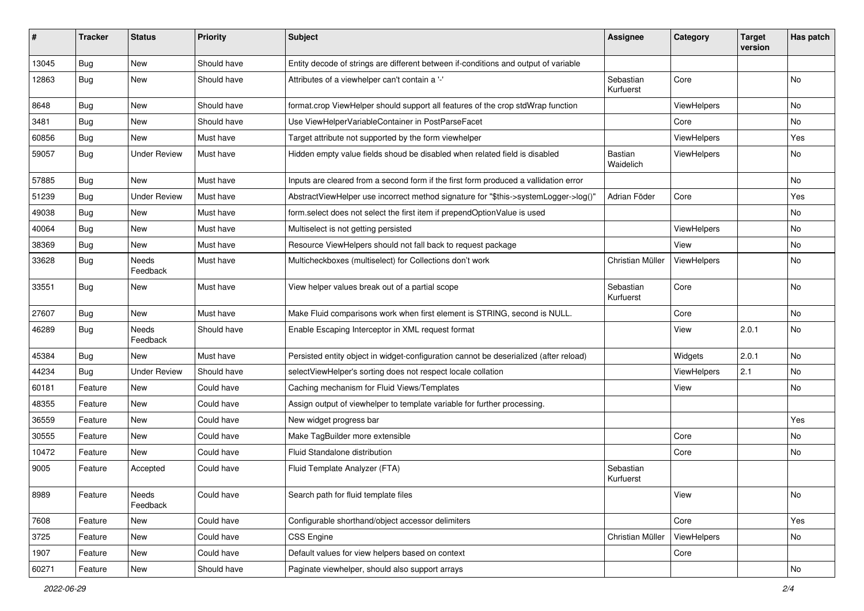| #     | <b>Tracker</b> | <b>Status</b>       | <b>Priority</b> | Subject                                                                               | <b>Assignee</b>             | Category    | <b>Target</b><br>version | Has patch |
|-------|----------------|---------------------|-----------------|---------------------------------------------------------------------------------------|-----------------------------|-------------|--------------------------|-----------|
| 13045 | Bug            | New                 | Should have     | Entity decode of strings are different between if-conditions and output of variable   |                             |             |                          |           |
| 12863 | Bug            | New                 | Should have     | Attributes of a viewhelper can't contain a '-'                                        | Sebastian<br>Kurfuerst      | Core        |                          | No        |
| 8648  | Bug            | New                 | Should have     | format.crop ViewHelper should support all features of the crop stdWrap function       |                             | ViewHelpers |                          | No        |
| 3481  | Bug            | New                 | Should have     | Use ViewHelperVariableContainer in PostParseFacet                                     |                             | Core        |                          | No        |
| 60856 | Bug            | New                 | Must have       | Target attribute not supported by the form viewhelper                                 |                             | ViewHelpers |                          | Yes       |
| 59057 | Bug            | <b>Under Review</b> | Must have       | Hidden empty value fields shoud be disabled when related field is disabled            | <b>Bastian</b><br>Waidelich | ViewHelpers |                          | No        |
| 57885 | Bug            | New                 | Must have       | Inputs are cleared from a second form if the first form produced a vallidation error  |                             |             |                          | No        |
| 51239 | Bug            | <b>Under Review</b> | Must have       | AbstractViewHelper use incorrect method signature for "\$this->systemLogger->log()"   | Adrian Föder                | Core        |                          | Yes       |
| 49038 | Bug            | New                 | Must have       | form.select does not select the first item if prependOptionValue is used              |                             |             |                          | No        |
| 40064 | Bug            | New                 | Must have       | Multiselect is not getting persisted                                                  |                             | ViewHelpers |                          | No        |
| 38369 | Bug            | New                 | Must have       | Resource ViewHelpers should not fall back to request package                          |                             | View        |                          | No        |
| 33628 | Bug            | Needs<br>Feedback   | Must have       | Multicheckboxes (multiselect) for Collections don't work                              | Christian Müller            | ViewHelpers |                          | No        |
| 33551 | Bug            | New                 | Must have       | View helper values break out of a partial scope                                       | Sebastian<br>Kurfuerst      | Core        |                          | No        |
| 27607 | Bug            | New                 | Must have       | Make Fluid comparisons work when first element is STRING, second is NULL.             |                             | Core        |                          | No        |
| 46289 | Bug            | Needs<br>Feedback   | Should have     | Enable Escaping Interceptor in XML request format                                     |                             | View        | 2.0.1                    | No        |
| 45384 | Bug            | New                 | Must have       | Persisted entity object in widget-configuration cannot be deserialized (after reload) |                             | Widgets     | 2.0.1                    | No        |
| 44234 | Bug            | <b>Under Review</b> | Should have     | selectViewHelper's sorting does not respect locale collation                          |                             | ViewHelpers | 2.1                      | No        |
| 60181 | Feature        | New                 | Could have      | Caching mechanism for Fluid Views/Templates                                           |                             | View        |                          | No        |
| 48355 | Feature        | New                 | Could have      | Assign output of viewhelper to template variable for further processing.              |                             |             |                          |           |
| 36559 | Feature        | New                 | Could have      | New widget progress bar                                                               |                             |             |                          | Yes       |
| 30555 | Feature        | New                 | Could have      | Make TagBuilder more extensible                                                       |                             | Core        |                          | No        |
| 10472 | Feature        | New                 | Could have      | <b>Fluid Standalone distribution</b>                                                  |                             | Core        |                          | No        |
| 9005  | Feature        | Accepted            | Could have      | Fluid Template Analyzer (FTA)                                                         | Sebastian<br>Kurfuerst      |             |                          |           |
| 8989  | Feature        | Needs<br>Feedback   | Could have      | Search path for fluid template files                                                  |                             | View        |                          | No        |
| 7608  | Feature        | New                 | Could have      | Configurable shorthand/object accessor delimiters                                     |                             | Core        |                          | Yes       |
| 3725  | Feature        | New                 | Could have      | <b>CSS Engine</b>                                                                     | Christian Müller            | ViewHelpers |                          | No        |
| 1907  | Feature        | New                 | Could have      | Default values for view helpers based on context                                      |                             | Core        |                          |           |
| 60271 | Feature        | New                 | Should have     | Paginate viewhelper, should also support arrays                                       |                             |             |                          | No        |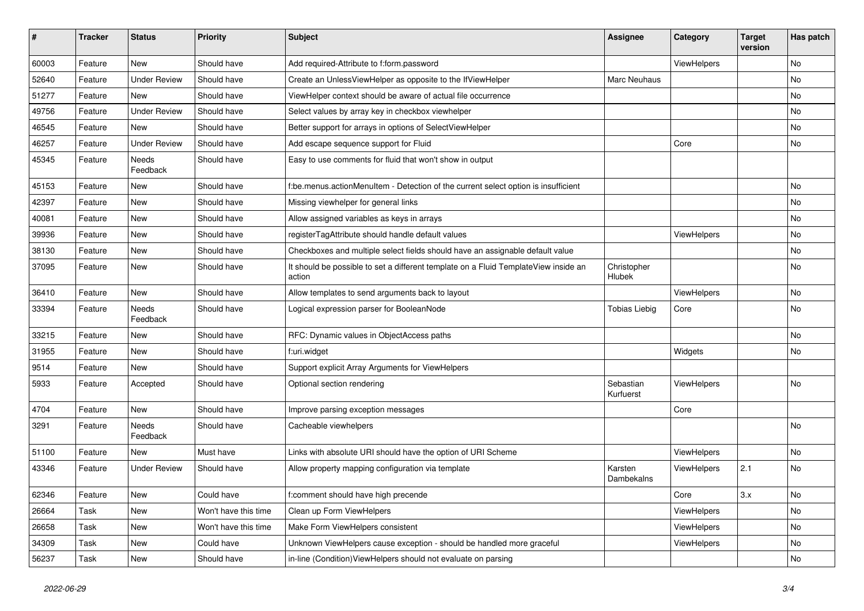| #     | <b>Tracker</b> | <b>Status</b>       | <b>Priority</b>      | Subject                                                                                       | <b>Assignee</b>        | Category    | <b>Target</b><br>version | Has patch |
|-------|----------------|---------------------|----------------------|-----------------------------------------------------------------------------------------------|------------------------|-------------|--------------------------|-----------|
| 60003 | Feature        | New                 | Should have          | Add required-Attribute to f:form.password                                                     |                        | ViewHelpers |                          | <b>No</b> |
| 52640 | Feature        | <b>Under Review</b> | Should have          | Create an UnlessViewHelper as opposite to the IfViewHelper                                    | Marc Neuhaus           |             |                          | No        |
| 51277 | Feature        | New                 | Should have          | ViewHelper context should be aware of actual file occurrence                                  |                        |             |                          | No        |
| 49756 | Feature        | <b>Under Review</b> | Should have          | Select values by array key in checkbox viewhelper                                             |                        |             |                          | No        |
| 46545 | Feature        | New                 | Should have          | Better support for arrays in options of SelectViewHelper                                      |                        |             |                          | No        |
| 46257 | Feature        | <b>Under Review</b> | Should have          | Add escape sequence support for Fluid                                                         |                        | Core        |                          | No        |
| 45345 | Feature        | Needs<br>Feedback   | Should have          | Easy to use comments for fluid that won't show in output                                      |                        |             |                          |           |
| 45153 | Feature        | New                 | Should have          | f:be.menus.actionMenuItem - Detection of the current select option is insufficient            |                        |             |                          | No        |
| 42397 | Feature        | New                 | Should have          | Missing viewhelper for general links                                                          |                        |             |                          | No        |
| 40081 | Feature        | New                 | Should have          | Allow assigned variables as keys in arrays                                                    |                        |             |                          | No        |
| 39936 | Feature        | New                 | Should have          | registerTagAttribute should handle default values                                             |                        | ViewHelpers |                          | No        |
| 38130 | Feature        | New                 | Should have          | Checkboxes and multiple select fields should have an assignable default value                 |                        |             |                          | No        |
| 37095 | Feature        | New                 | Should have          | It should be possible to set a different template on a Fluid TemplateView inside an<br>action | Christopher<br>Hlubek  |             |                          | No        |
| 36410 | Feature        | New                 | Should have          | Allow templates to send arguments back to layout                                              |                        | ViewHelpers |                          | No        |
| 33394 | Feature        | Needs<br>Feedback   | Should have          | Logical expression parser for BooleanNode                                                     | <b>Tobias Liebig</b>   | Core        |                          | <b>No</b> |
| 33215 | Feature        | New                 | Should have          | RFC: Dynamic values in ObjectAccess paths                                                     |                        |             |                          | <b>No</b> |
| 31955 | Feature        | New                 | Should have          | f:uri.widget                                                                                  |                        | Widgets     |                          | No        |
| 9514  | Feature        | New                 | Should have          | Support explicit Array Arguments for ViewHelpers                                              |                        |             |                          |           |
| 5933  | Feature        | Accepted            | Should have          | Optional section rendering                                                                    | Sebastian<br>Kurfuerst | ViewHelpers |                          | No        |
| 4704  | Feature        | New                 | Should have          | Improve parsing exception messages                                                            |                        | Core        |                          |           |
| 3291  | Feature        | Needs<br>Feedback   | Should have          | Cacheable viewhelpers                                                                         |                        |             |                          | <b>No</b> |
| 51100 | Feature        | New                 | Must have            | Links with absolute URI should have the option of URI Scheme                                  |                        | ViewHelpers |                          | <b>No</b> |
| 43346 | Feature        | <b>Under Review</b> | Should have          | Allow property mapping configuration via template                                             | Karsten<br>Dambekalns  | ViewHelpers | 2.1                      | No        |
| 62346 | Feature        | New                 | Could have           | f:comment should have high precende                                                           |                        | Core        | 3.x                      | No        |
| 26664 | Task           | New                 | Won't have this time | Clean up Form ViewHelpers                                                                     |                        | ViewHelpers |                          | No        |
| 26658 | Task           | New                 | Won't have this time | Make Form ViewHelpers consistent                                                              |                        | ViewHelpers |                          | No        |
| 34309 | Task           | New                 | Could have           | Unknown ViewHelpers cause exception - should be handled more graceful                         |                        | ViewHelpers |                          | No        |
| 56237 | Task           | New                 | Should have          | in-line (Condition) View Helpers should not evaluate on parsing                               |                        |             |                          | No        |